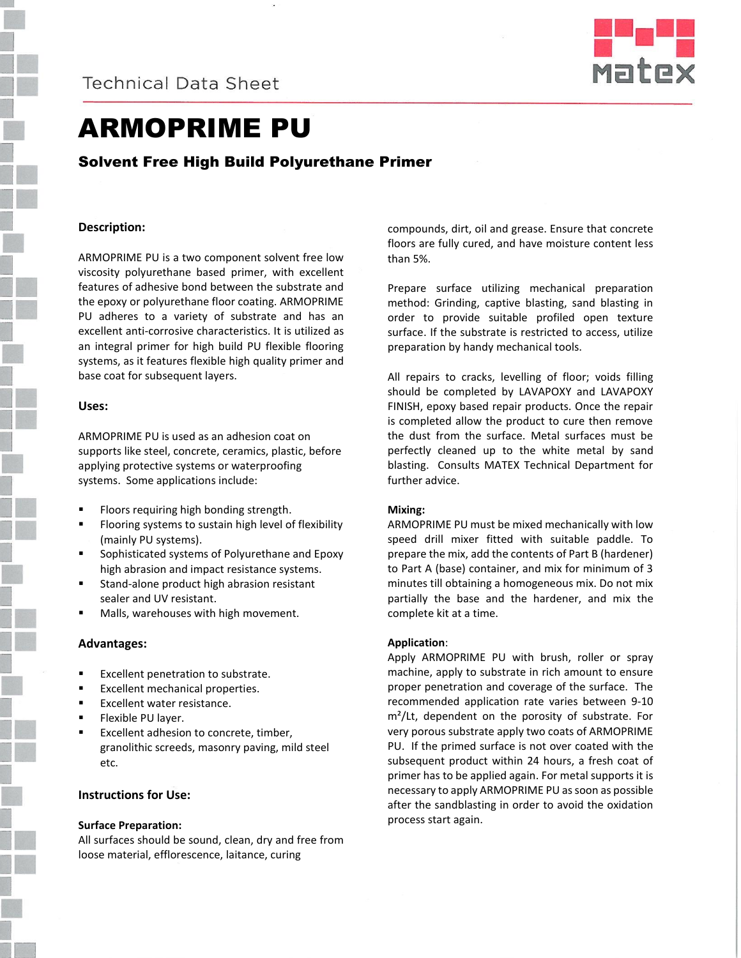



# ARMOPRIME PU

Solvent Free High Build Polyurethane Primer

# **Description:**

ARMOPRIME PU is a two component solvent free low viscosity polyurethane based primer, with excellent features of adhesive bond between the substrate and the epoxy or polyurethane floor coating. ARMOPRIME PU adheres to a variety of substrate and has an excellent anti-corrosive characteristics. It is utilized as an integral primer for high build PU flexible flooring systems, as it features flexible high quality primer and base coat for subsequent layers.

### **Uses:**

ARMOPRIME PU is used as an adhesion coat on supports like steel, concrete, ceramics, plastic, before applying protective systems or waterproofing systems. Some applications include:

- Floors requiring high bonding strength.
- Flooring systems to sustain high level of flexibility (mainly PU systems).
- Sophisticated systems of Polyurethane and Epoxy high abrasion and impact resistance systems.
- Stand-alone product high abrasion resistant sealer and UV resistant.
- Malls, warehouses with high movement.

# **Advantages:**

- Excellent penetration to substrate.
- **Excellent mechanical properties.**
- Excellent water resistance.
- **Flexible PU layer.**
- Excellent adhesion to concrete, timber, granolithic screeds, masonry paving, mild steel etc.

# **Instructions for Use:**

### **Surface Preparation:**

All surfaces should be sound, clean, dry and free from loose material, efflorescence, laitance, curing

compounds, dirt, oil and grease. Ensure that concrete floors are fully cured, and have moisture content less than 5%.

Prepare surface utilizing mechanical preparation method: Grinding, captive blasting, sand blasting in order to provide suitable profiled open texture surface. If the substrate is restricted to access, utilize preparation by handy mechanical tools.

All repairs to cracks, levelling of floor; voids filling should be completed by LAVAPOXY and LAVAPOXY FINISH, epoxy based repair products. Once the repair is completed allow the product to cure then remove the dust from the surface. Metal surfaces must be perfectly cleaned up to the white metal by sand blasting. Consults MATEX Technical Department for further advice.

### **Mixing:**

ARMOPRIME PU must be mixed mechanically with low speed drill mixer fitted with suitable paddle. To prepare the mix, add the contents of Part B (hardener) to Part A (base) container, and mix for minimum of 3 minutes till obtaining a homogeneous mix. Do not mix partially the base and the hardener, and mix the complete kit at a time.

# **Application**:

Apply ARMOPRIME PU with brush, roller or spray machine, apply to substrate in rich amount to ensure proper penetration and coverage of the surface. The recommended application rate varies between 9-10 m²/Lt, dependent on the porosity of substrate. For very porous substrate apply two coats of ARMOPRIME PU. If the primed surface is not over coated with the subsequent product within 24 hours, a fresh coat of primer has to be applied again. For metal supports it is necessary to apply ARMOPRIME PU as soon as possible after the sandblasting in order to avoid the oxidation process start again.